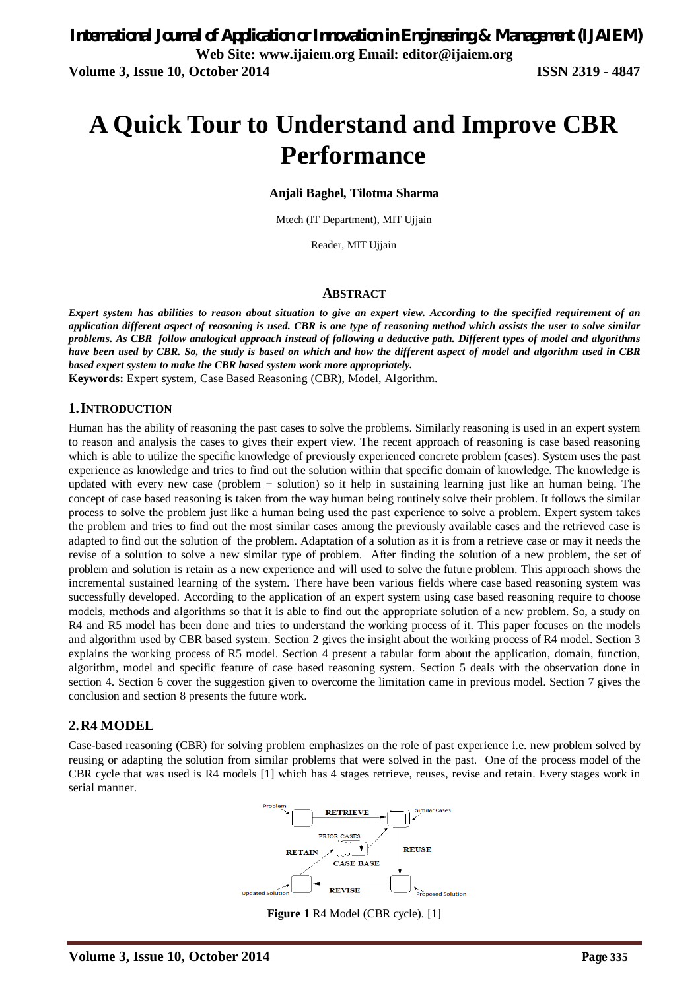# **A Quick Tour to Understand and Improve CBR Performance**

**Anjali Baghel, Tilotma Sharma**

Mtech (IT Department), MIT Ujjain

Reader, MIT Ujjain

#### **ABSTRACT**

*Expert system has abilities to reason about situation to give an expert view. According to the specified requirement of an application different aspect of reasoning is used. CBR is one type of reasoning method which assists the user to solve similar problems. As CBR follow analogical approach instead of following a deductive path. Different types of model and algorithms have been used by CBR. So, the study is based on which and how the different aspect of model and algorithm used in CBR based expert system to make the CBR based system work more appropriately.*

**Keywords:** Expert system, Case Based Reasoning (CBR), Model, Algorithm.

#### **1.INTRODUCTION**

Human has the ability of reasoning the past cases to solve the problems. Similarly reasoning is used in an expert system to reason and analysis the cases to gives their expert view. The recent approach of reasoning is case based reasoning which is able to utilize the specific knowledge of previously experienced concrete problem (cases). System uses the past experience as knowledge and tries to find out the solution within that specific domain of knowledge. The knowledge is updated with every new case (problem + solution) so it help in sustaining learning just like an human being. The concept of case based reasoning is taken from the way human being routinely solve their problem. It follows the similar process to solve the problem just like a human being used the past experience to solve a problem. Expert system takes the problem and tries to find out the most similar cases among the previously available cases and the retrieved case is adapted to find out the solution of the problem. Adaptation of a solution as it is from a retrieve case or may it needs the revise of a solution to solve a new similar type of problem. After finding the solution of a new problem, the set of problem and solution is retain as a new experience and will used to solve the future problem. This approach shows the incremental sustained learning of the system. There have been various fields where case based reasoning system was successfully developed. According to the application of an expert system using case based reasoning require to choose models, methods and algorithms so that it is able to find out the appropriate solution of a new problem. So, a study on R4 and R5 model has been done and tries to understand the working process of it. This paper focuses on the models and algorithm used by CBR based system. Section 2 gives the insight about the working process of R4 model. Section 3 explains the working process of R5 model. Section 4 present a tabular form about the application, domain, function, algorithm, model and specific feature of case based reasoning system. Section 5 deals with the observation done in section 4. Section 6 cover the suggestion given to overcome the limitation came in previous model. Section 7 gives the conclusion and section 8 presents the future work.

#### **2.R4 MODEL**

Case-based reasoning (CBR) for solving problem emphasizes on the role of past experience i.e. new problem solved by reusing or adapting the solution from similar problems that were solved in the past. One of the process model of the CBR cycle that was used is R4 models [1] which has 4 stages retrieve, reuses, revise and retain. Every stages work in serial manner.



**Figure 1** R4 Model (CBR cycle). [1]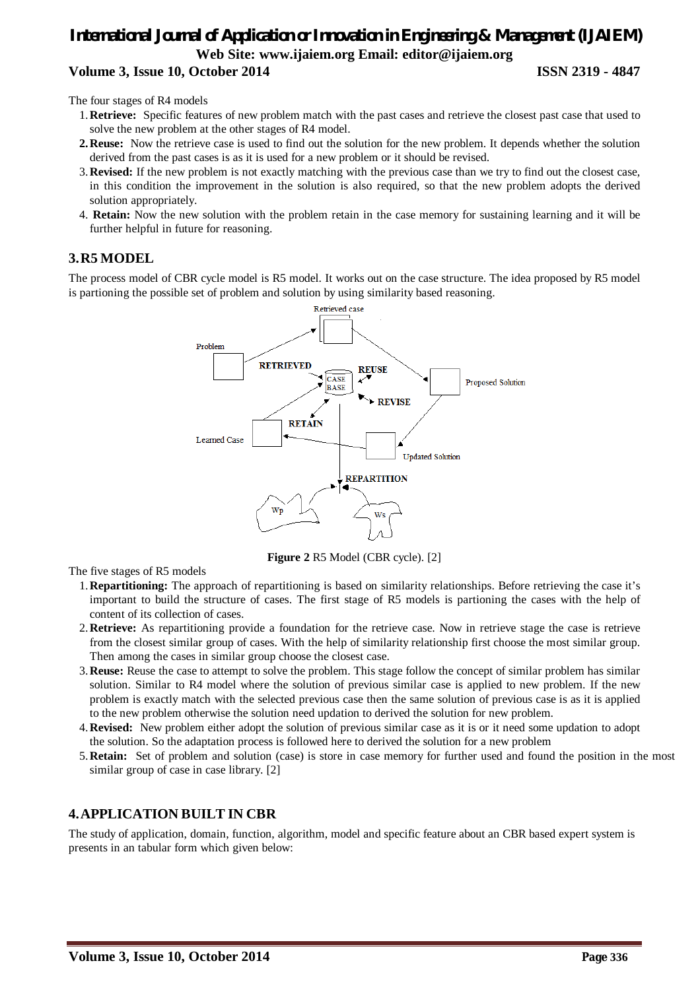### *International Journal of Application or Innovation in Engineering & Management (IJAIEM)* **Web Site: www.ijaiem.org Email: editor@ijaiem.org Volume 3, Issue 10, October 2014 ISSN 2319 - 4847**

The four stages of R4 models

- 1.**Retrieve:** Specific features of new problem match with the past cases and retrieve the closest past case that used to solve the new problem at the other stages of R4 model.
- **2.Reuse:** Now the retrieve case is used to find out the solution for the new problem. It depends whether the solution derived from the past cases is as it is used for a new problem or it should be revised.
- 3.**Revised:** If the new problem is not exactly matching with the previous case than we try to find out the closest case, in this condition the improvement in the solution is also required, so that the new problem adopts the derived solution appropriately.
- 4. **Retain:** Now the new solution with the problem retain in the case memory for sustaining learning and it will be further helpful in future for reasoning.

#### **3.R5 MODEL**

The process model of CBR cycle model is R5 model. It works out on the case structure. The idea proposed by R5 model is partioning the possible set of problem and solution by using similarity based reasoning.



**Figure 2** R5 Model (CBR cycle). [2]

The five stages of R5 models

- 1.**Repartitioning:** The approach of repartitioning is based on similarity relationships. Before retrieving the case it's important to build the structure of cases. The first stage of R5 models is partioning the cases with the help of content of its collection of cases.
- 2.**Retrieve:** As repartitioning provide a foundation for the retrieve case. Now in retrieve stage the case is retrieve from the closest similar group of cases. With the help of similarity relationship first choose the most similar group. Then among the cases in similar group choose the closest case.
- 3.**Reuse:** Reuse the case to attempt to solve the problem. This stage follow the concept of similar problem has similar solution. Similar to R4 model where the solution of previous similar case is applied to new problem. If the new problem is exactly match with the selected previous case then the same solution of previous case is as it is applied to the new problem otherwise the solution need updation to derived the solution for new problem.
- 4.**Revised:** New problem either adopt the solution of previous similar case as it is or it need some updation to adopt the solution. So the adaptation process is followed here to derived the solution for a new problem
- 5.**Retain:** Set of problem and solution (case) is store in case memory for further used and found the position in the most similar group of case in case library. [2]

#### **4.APPLICATION BUILT IN CBR**

The study of application, domain, function, algorithm, model and specific feature about an CBR based expert system is presents in an tabular form which given below: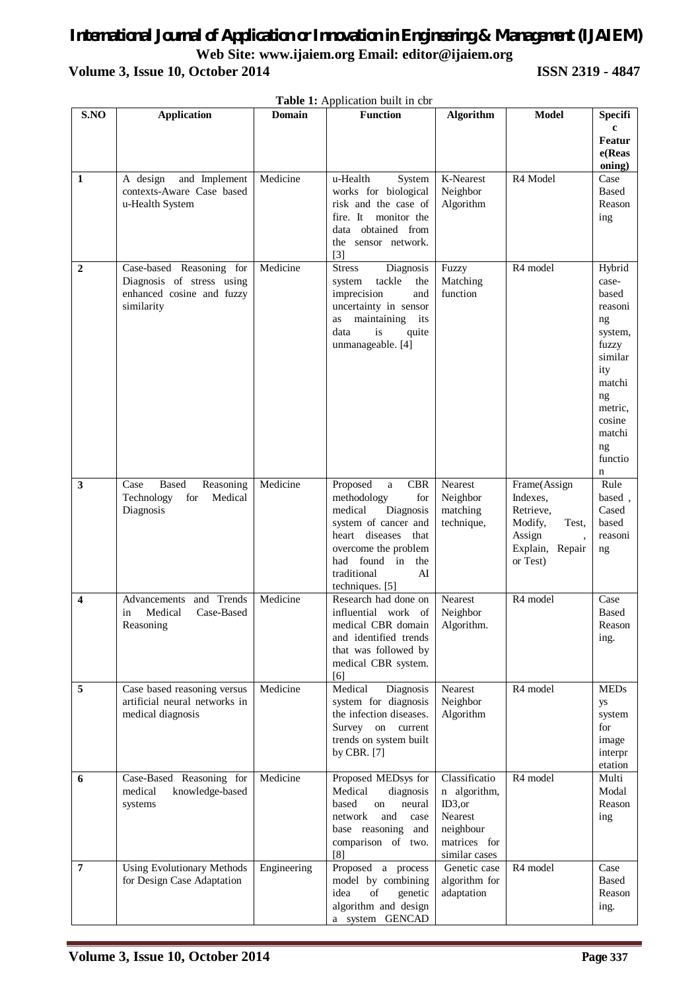## *International Journal of Application or Innovation in Engineering & Management (IJAIEM)* **Web Site: www.ijaiem.org Email: editor@ijaiem.org Volume 3, Issue 10, October 2014 ISSN 2319 - 4847**

|                  | Table 1: Application built in cbr                                                                |               |                                                                                                                                                                                                                            |                                                                                                   |                                                                                                       |                                                                                                                                                                |
|------------------|--------------------------------------------------------------------------------------------------|---------------|----------------------------------------------------------------------------------------------------------------------------------------------------------------------------------------------------------------------------|---------------------------------------------------------------------------------------------------|-------------------------------------------------------------------------------------------------------|----------------------------------------------------------------------------------------------------------------------------------------------------------------|
| S.NO             | <b>Application</b>                                                                               | <b>Domain</b> | <b>Function</b>                                                                                                                                                                                                            | <b>Algorithm</b>                                                                                  | <b>Model</b>                                                                                          | <b>Specifi</b><br>$\mathbf c$<br>Featur<br>e(Reas<br>oning)                                                                                                    |
| 1                | A design<br>and Implement<br>contexts-Aware Case based<br>u-Health System                        | Medicine      | u-Health<br>System<br>works for biological<br>risk and the case of<br>fire. It<br>monitor the<br>data obtained from<br>the sensor network.<br>$[3]$                                                                        | K-Nearest<br>Neighbor<br>Algorithm                                                                | R4 Model                                                                                              | Case<br>Based<br>Reason<br>ing                                                                                                                                 |
| $\boldsymbol{2}$ | Case-based Reasoning for<br>Diagnosis of stress using<br>enhanced cosine and fuzzy<br>similarity | Medicine      | <b>Stress</b><br>Diagnosis<br>tackle<br>system<br>the<br>imprecision<br>and<br>uncertainty in sensor<br>maintaining its<br>as<br>data<br>quite<br>is<br>unmanageable. [4]                                                  | Fuzzy<br>Matching<br>function                                                                     | R <sub>4</sub> model                                                                                  | Hybrid<br>case-<br>based<br>reasoni<br>ng<br>system,<br>fuzzy<br>similar<br>ity<br>matchi<br>ng<br>metric,<br>cosine<br>matchi<br>ng<br>functio<br>$\mathbf n$ |
| 3                | <b>Based</b><br>Case<br>Reasoning<br>Medical<br>Technology<br>for<br>Diagnosis                   | Medicine      | Proposed<br><b>CBR</b><br>$\mathbf{a}$<br>methodology<br>for<br>medical<br>Diagnosis<br>system of cancer and<br>heart diseases<br>that<br>overcome the problem<br>had found in the<br>traditional<br>AI<br>techniques. [5] | Nearest<br>Neighbor<br>matching<br>technique,                                                     | Frame(Assign<br>Indexes.<br>Retrieve,<br>Modify,<br>Test,<br>Assign<br>Explain,<br>Repair<br>or Test) | Rule<br>based,<br>Cased<br>based<br>reasoni<br>ng                                                                                                              |
| 4                | and Trends<br>Advancements<br>Medical<br>Case-Based<br>in<br>Reasoning                           | Medicine      | Research had done on<br>influential work of<br>medical CBR domain<br>and identified trends<br>that was followed by<br>medical CBR system.<br>[6]                                                                           | Nearest<br>Neighbor<br>Algorithm.                                                                 | R <sub>4</sub> model                                                                                  | Case<br><b>Based</b><br>Reason<br>ing.                                                                                                                         |
| 5                | Case based reasoning versus<br>artificial neural networks in<br>medical diagnosis                | Medicine      | Medical<br>Diagnosis<br>system for diagnosis<br>the infection diseases.<br>Survey on current<br>trends on system built<br>by CBR. [7]                                                                                      | Nearest<br>Neighbor<br>Algorithm                                                                  | R <sub>4</sub> model                                                                                  | <b>MEDs</b><br>уs<br>system<br>for<br>image<br>interpr<br>etation                                                                                              |
| 6                | Case-Based Reasoning for<br>medical<br>knowledge-based<br>systems                                | Medicine      | Proposed MEDsys for<br>Medical<br>diagnosis<br>based<br>neural<br>on<br>and<br>network<br>case<br>base reasoning and<br>comparison of two.<br>[8]                                                                          | Classificatio<br>n algorithm,<br>ID3, or<br>Nearest<br>neighbour<br>matrices for<br>similar cases | R <sub>4</sub> model                                                                                  | Multi<br>Modal<br>Reason<br>ing                                                                                                                                |
| $\overline{7}$   | <b>Using Evolutionary Methods</b><br>for Design Case Adaptation                                  | Engineering   | Proposed a process<br>model by combining<br>idea<br>of<br>genetic<br>algorithm and design<br>a system GENCAD                                                                                                               | Genetic case<br>algorithm for<br>adaptation                                                       | R <sub>4</sub> model                                                                                  | Case<br><b>Based</b><br>Reason<br>ing.                                                                                                                         |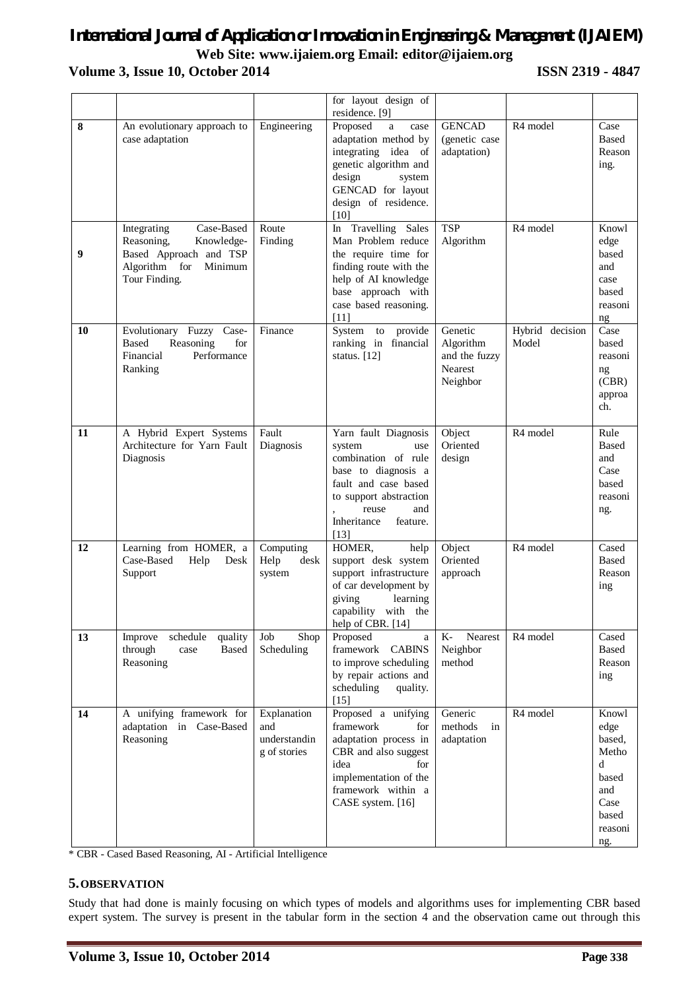# *International Journal of Application or Innovation in Engineering & Management (IJAIEM)* **Web Site: www.ijaiem.org Email: editor@ijaiem.org**

### **Volume 3, Issue 10, October 2014 ISSN 2319 - 4847**

|    |                                                                                                                              |                                                    | for layout design of<br>residence. [9]                                                                                                                                                     |                                                              |                          |                                                                                                    |
|----|------------------------------------------------------------------------------------------------------------------------------|----------------------------------------------------|--------------------------------------------------------------------------------------------------------------------------------------------------------------------------------------------|--------------------------------------------------------------|--------------------------|----------------------------------------------------------------------------------------------------|
| 8  | An evolutionary approach to<br>case adaptation                                                                               | Engineering                                        | Proposed<br>a<br>case<br>adaptation method by<br>integrating idea of<br>genetic algorithm and<br>design<br>system<br>GENCAD for layout<br>design of residence.<br>$[10]$                   | <b>GENCAD</b><br>(genetic case)<br>adaptation)               | R <sub>4</sub> model     | Case<br>Based<br>Reason<br>ing.                                                                    |
| 9  | Case-Based<br>Integrating<br>Reasoning,<br>Knowledge-<br>Based Approach and TSP<br>Algorithm for<br>Minimum<br>Tour Finding. | Route<br>Finding                                   | In Travelling Sales<br>Man Problem reduce<br>the require time for<br>finding route with the<br>help of AI knowledge<br>base approach with<br>case based reasoning.<br>$[11]$               | <b>TSP</b><br>Algorithm                                      | R <sub>4</sub> model     | Knowl<br>edge<br>based<br>and<br>case<br>based<br>reasoni<br>ng                                    |
| 10 | Evolutionary Fuzzy Case-<br>Reasoning<br><b>Based</b><br>for<br>Financial<br>Performance<br>Ranking                          | Finance                                            | System to<br>provide<br>ranking in financial<br>status. [12]                                                                                                                               | Genetic<br>Algorithm<br>and the fuzzy<br>Nearest<br>Neighbor | Hybrid decision<br>Model | Case<br>based<br>reasoni<br>ng<br>(CBR)<br>approa<br>ch.                                           |
| 11 | A Hybrid Expert Systems<br>Architecture for Yarn Fault<br>Diagnosis                                                          | Fault<br>Diagnosis                                 | Yarn fault Diagnosis<br>system<br>use<br>combination of rule<br>base to diagnosis a<br>fault and case based<br>to support abstraction<br>reuse<br>and<br>Inheritance<br>feature.<br>$[13]$ | Object<br>Oriented<br>design                                 | R <sub>4</sub> model     | Rule<br>Based<br>and<br>Case<br>based<br>reasoni<br>ng.                                            |
| 12 | Learning from HOMER, a<br>Case-Based<br>Help<br>Desk<br>Support                                                              | Computing<br>Help<br>desk<br>system                | HOMER,<br>help<br>support desk system<br>support infrastructure<br>of car development by<br>giving<br>learning<br>capability with the<br>help of CBR. [14]                                 | Object<br>Oriented<br>approach                               | R <sub>4</sub> model     | Cased<br><b>Based</b><br>Reason<br>ing                                                             |
| 13 | quality<br>Improve<br>schedule<br>through<br>Based<br>case<br>Reasoning                                                      | Shop<br>Job<br>Scheduling                          | Proposed<br>a<br>framework CABINS<br>to improve scheduling<br>by repair actions and<br>scheduling<br>quality.<br>$[15]$                                                                    | Nearest<br>$K-$<br>Neighbor<br>method                        | R <sub>4</sub> model     | Cased<br>Based<br>Reason<br>ing                                                                    |
| 14 | A unifying framework for<br>adaptation in Case-Based<br>Reasoning                                                            | Explanation<br>and<br>understandin<br>g of stories | Proposed a unifying<br>framework<br>for<br>adaptation process in<br>CBR and also suggest<br>idea<br>for<br>implementation of the<br>framework within a<br>CASE system. [16]                | Generic<br>methods<br>in<br>adaptation                       | R4 model                 | Knowl<br>edge<br>based,<br>Metho<br>$\mathbf d$<br>based<br>and<br>Case<br>based<br>reasoni<br>ng. |

\* CBR - Cased Based Reasoning, AI - Artificial Intelligence

#### **5.OBSERVATION**

Study that had done is mainly focusing on which types of models and algorithms uses for implementing CBR based expert system. The survey is present in the tabular form in the section 4 and the observation came out through this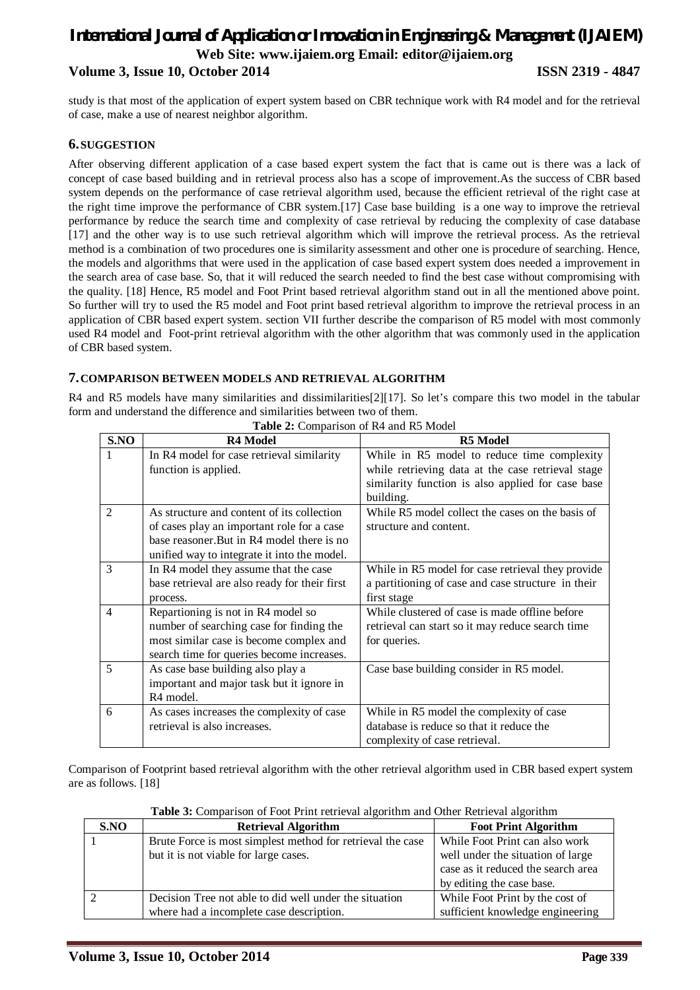### *International Journal of Application or Innovation in Engineering & Management (IJAIEM)* **Web Site: www.ijaiem.org Email: editor@ijaiem.org Volume 3, Issue 10, October 2014 ISSN 2319 - 4847**

study is that most of the application of expert system based on CBR technique work with R4 model and for the retrieval of case, make a use of nearest neighbor algorithm.

#### **6.SUGGESTION**

After observing different application of a case based expert system the fact that is came out is there was a lack of concept of case based building and in retrieval process also has a scope of improvement.As the success of CBR based system depends on the performance of case retrieval algorithm used, because the efficient retrieval of the right case at the right time improve the performance of CBR system.[17] Case base building is a one way to improve the retrieval performance by reduce the search time and complexity of case retrieval by reducing the complexity of case database [17] and the other way is to use such retrieval algorithm which will improve the retrieval process. As the retrieval method is a combination of two procedures one is similarity assessment and other one is procedure of searching. Hence, the models and algorithms that were used in the application of case based expert system does needed a improvement in the search area of case base. So, that it will reduced the search needed to find the best case without compromising with the quality. [18] Hence, R5 model and Foot Print based retrieval algorithm stand out in all the mentioned above point. So further will try to used the R5 model and Foot print based retrieval algorithm to improve the retrieval process in an application of CBR based expert system. section VII further describe the comparison of R5 model with most commonly used R4 model and Foot-print retrieval algorithm with the other algorithm that was commonly used in the application of CBR based system.

#### **7.COMPARISON BETWEEN MODELS AND RETRIEVAL ALGORITHM**

R4 and R5 models have many similarities and dissimilarities[2][17]. So let's compare this two model in the tabular form and understand the difference and similarities between two of them.

| S.NO           | <b>R4 Model</b>                               | R5 Model                                           |
|----------------|-----------------------------------------------|----------------------------------------------------|
| 1              | In R4 model for case retrieval similarity     | While in R5 model to reduce time complexity        |
|                | function is applied.                          | while retrieving data at the case retrieval stage  |
|                |                                               | similarity function is also applied for case base  |
|                |                                               | building.                                          |
| $\overline{2}$ | As structure and content of its collection    | While R5 model collect the cases on the basis of   |
|                | of cases play an important role for a case    | structure and content.                             |
|                | base reasoner. But in R4 model there is no    |                                                    |
|                | unified way to integrate it into the model.   |                                                    |
| 3              | In R4 model they assume that the case         | While in R5 model for case retrieval they provide  |
|                | base retrieval are also ready for their first | a partitioning of case and case structure in their |
|                | process.                                      | first stage                                        |
| $\overline{4}$ | Repartioning is not in R4 model so            | While clustered of case is made offline before     |
|                | number of searching case for finding the      | retrieval can start so it may reduce search time   |
|                | most similar case is become complex and       | for queries.                                       |
|                | search time for queries become increases.     |                                                    |
| 5              | As case base building also play a             | Case base building consider in R5 model.           |
|                | important and major task but it ignore in     |                                                    |
|                | R <sub>4</sub> model.                         |                                                    |
| 6              | As cases increases the complexity of case     | While in R5 model the complexity of case           |
|                | retrieval is also increases.                  | database is reduce so that it reduce the           |
|                |                                               | complexity of case retrieval.                      |

**Table 2:** Comparison of R4 and R5 Model

Comparison of Footprint based retrieval algorithm with the other retrieval algorithm used in CBR based expert system are as follows. [18]

**Table 3:** Comparison of Foot Print retrieval algorithm and Other Retrieval algorithm

| S.NO | <b>Retrieval Algorithm</b>                                 | <b>Foot Print Algorithm</b>        |  |  |
|------|------------------------------------------------------------|------------------------------------|--|--|
|      | Brute Force is most simplest method for retrieval the case | While Foot Print can also work     |  |  |
|      | but it is not viable for large cases.                      | well under the situation of large  |  |  |
|      |                                                            | case as it reduced the search area |  |  |
|      |                                                            | by editing the case base.          |  |  |
|      | Decision Tree not able to did well under the situation     | While Foot Print by the cost of    |  |  |
|      | where had a incomplete case description.                   | sufficient knowledge engineering   |  |  |
|      |                                                            |                                    |  |  |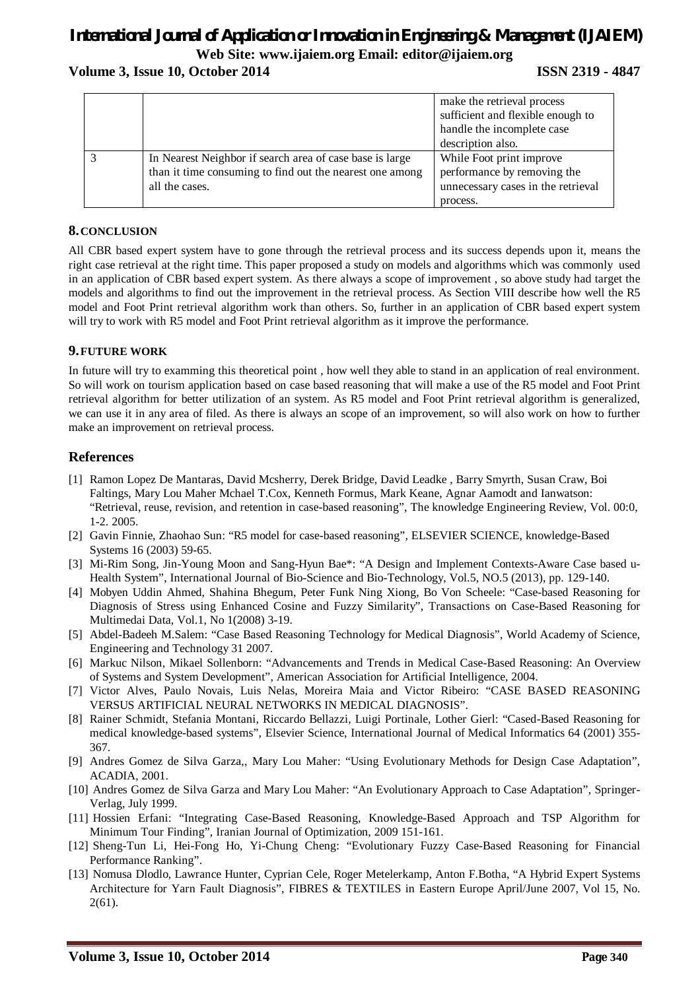# *International Journal of Application or Innovation in Engineering & Management (IJAIEM)* **Web Site: www.ijaiem.org Email: editor@ijaiem.org**

#### **Volume 3, Issue 10, October 2014 ISSN 2319 - 4847**

|                                                          | make the retrieval process         |
|----------------------------------------------------------|------------------------------------|
|                                                          | sufficient and flexible enough to  |
|                                                          | handle the incomplete case         |
|                                                          | description also.                  |
| In Nearest Neighbor if search area of case base is large | While Foot print improve           |
| than it time consuming to find out the nearest one among | performance by removing the        |
| all the cases.                                           | unnecessary cases in the retrieval |
|                                                          | process.                           |

#### **8.CONCLUSION**

All CBR based expert system have to gone through the retrieval process and its success depends upon it, means the right case retrieval at the right time. This paper proposed a study on models and algorithms which was commonly used in an application of CBR based expert system. As there always a scope of improvement , so above study had target the models and algorithms to find out the improvement in the retrieval process. As Section VIII describe how well the R5 model and Foot Print retrieval algorithm work than others. So, further in an application of CBR based expert system will try to work with R5 model and Foot Print retrieval algorithm as it improve the performance.

#### **9.FUTURE WORK**

In future will try to examming this theoretical point , how well they able to stand in an application of real environment. So will work on tourism application based on case based reasoning that will make a use of the R5 model and Foot Print retrieval algorithm for better utilization of an system. As R5 model and Foot Print retrieval algorithm is generalized, we can use it in any area of filed. As there is always an scope of an improvement, so will also work on how to further make an improvement on retrieval process.

#### **References**

- [1] Ramon Lopez De Mantaras, David Mcsherry, Derek Bridge, David Leadke , Barry Smyrth, Susan Craw, Boi Faltings, Mary Lou Maher Mchael T.Cox, Kenneth Formus, Mark Keane, Agnar Aamodt and Ianwatson: "Retrieval, reuse, revision, and retention in case-based reasoning", The knowledge Engineering Review, Vol. 00:0, 1-2. 2005.
- [2] Gavin Finnie, Zhaohao Sun: "R5 model for case-based reasoning", ELSEVIER SCIENCE, knowledge-Based Systems 16 (2003) 59-65.
- [3] Mi-Rim Song, Jin-Young Moon and Sang-Hyun Bae\*: "A Design and Implement Contexts-Aware Case based u-Health System", International Journal of Bio-Science and Bio-Technology, Vol.5, NO.5 (2013), pp. 129-140.
- [4] Mobyen Uddin Ahmed, Shahina Bhegum, Peter Funk Ning Xiong, Bo Von Scheele: "Case-based Reasoning for Diagnosis of Stress using Enhanced Cosine and Fuzzy Similarity", Transactions on Case-Based Reasoning for Multimedai Data, Vol.1, No 1(2008) 3-19.
- [5] Abdel-Badeeh M.Salem: "Case Based Reasoning Technology for Medical Diagnosis", World Academy of Science, Engineering and Technology 31 2007.
- [6] Markuc Nilson, Mikael Sollenborn: "Advancements and Trends in Medical Case-Based Reasoning: An Overview of Systems and System Development", American Association for Artificial Intelligence, 2004.
- [7] Victor Alves, Paulo Novais, Luis Nelas, Moreira Maia and Victor Ribeiro: "CASE BASED REASONING VERSUS ARTIFICIAL NEURAL NETWORKS IN MEDICAL DIAGNOSIS".
- [8] Rainer Schmidt, Stefania Montani, Riccardo Bellazzi, Luigi Portinale, Lother Gierl: "Cased-Based Reasoning for medical knowledge-based systems", Elsevier Science, International Journal of Medical Informatics 64 (2001) 355- 367.
- [9] Andres Gomez de Silva Garza,, Mary Lou Maher: "Using Evolutionary Methods for Design Case Adaptation", ACADIA, 2001.
- [10] Andres Gomez de Silva Garza and Mary Lou Maher: "An Evolutionary Approach to Case Adaptation", Springer-Verlag, July 1999.
- [11] Hossien Erfani: "Integrating Case-Based Reasoning, Knowledge-Based Approach and TSP Algorithm for Minimum Tour Finding", Iranian Journal of Optimization, 2009 151-161.
- [12] Sheng-Tun Li, Hei-Fong Ho, Yi-Chung Cheng: "Evolutionary Fuzzy Case-Based Reasoning for Financial Performance Ranking".
- [13] Nomusa Dlodlo, Lawrance Hunter, Cyprian Cele, Roger Metelerkamp, Anton F.Botha, "A Hybrid Expert Systems Architecture for Yarn Fault Diagnosis", FIBRES & TEXTILES in Eastern Europe April/June 2007, Vol 15, No. 2(61).